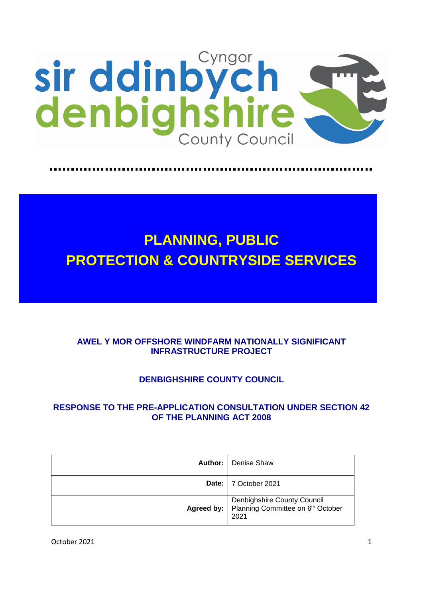

# **PLANNING, PUBLIC PROTECTION & COUNTRYSIDE SERVICES**

# **AWEL Y MOR OFFSHORE WINDFARM NATIONALLY SIGNIFICANT INFRASTRUCTURE PROJECT**

# **DENBIGHSHIRE COUNTY COUNCIL**

# **RESPONSE TO THE PRE-APPLICATION CONSULTATION UNDER SECTION 42 OF THE PLANNING ACT 2008**

|            | <b>Author:</b>   Denise Shaw                                             |
|------------|--------------------------------------------------------------------------|
|            | Date: 7 October 2021                                                     |
| Agreed by: | Denbighshire County Council<br>Planning Committee on 6th October<br>2021 |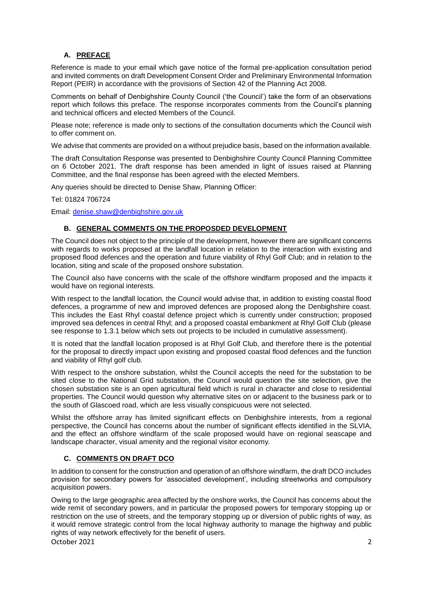# **A. PREFACE**

Reference is made to your email which gave notice of the formal pre-application consultation period and invited comments on draft Development Consent Order and Preliminary Environmental Information Report (PEIR) in accordance with the provisions of Section 42 of the Planning Act 2008.

Comments on behalf of Denbighshire County Council ('the Council') take the form of an observations report which follows this preface. The response incorporates comments from the Council's planning and technical officers and elected Members of the Council.

Please note; reference is made only to sections of the consultation documents which the Council wish to offer comment on.

We advise that comments are provided on a without prejudice basis, based on the information available.

The draft Consultation Response was presented to Denbighshire County Council Planning Committee on 6 October 2021. The draft response has been amended in light of issues raised at Planning Committee, and the final response has been agreed with the elected Members.

Any queries should be directed to Denise Shaw, Planning Officer:

Tel: 01824 706724

Email: [denise.shaw@denbighshire.gov.uk](mailto:denise.shaw@denbighshire.gov.uk)

# **B. GENERAL COMMENTS ON THE PROPOSDED DEVELOPMENT**

The Council does not object to the principle of the development, however there are significant concerns with regards to works proposed at the landfall location in relation to the interaction with existing and proposed flood defences and the operation and future viability of Rhyl Golf Club; and in relation to the location, siting and scale of the proposed onshore substation.

The Council also have concerns with the scale of the offshore windfarm proposed and the impacts it would have on regional interests.

With respect to the landfall location, the Council would advise that, in addition to existing coastal flood defences, a programme of new and improved defences are proposed along the Denbighshire coast. This includes the East Rhyl coastal defence project which is currently under construction; proposed improved sea defences in central Rhyl; and a proposed coastal embankment at Rhyl Golf Club (please see response to 1.3.1 below which sets out projects to be included in cumulative assessment).

It is noted that the landfall location proposed is at Rhyl Golf Club, and therefore there is the potential for the proposal to directly impact upon existing and proposed coastal flood defences and the function and viability of Rhyl golf club.

With respect to the onshore substation, whilst the Council accepts the need for the substation to be sited close to the National Grid substation, the Council would question the site selection, give the chosen substation site is an open agricultural field which is rural in character and close to residential properties. The Council would question why alternative sites on or adjacent to the business park or to the south of Glascoed road, which are less visually conspicuous were not selected.

Whilst the offshore array has limited significant effects on Denbighshire interests, from a regional perspective, the Council has concerns about the number of significant effects identified in the SLVIA, and the effect an offshore windfarm of the scale proposed would have on regional seascape and landscape character, visual amenity and the regional visitor economy.

# **C. COMMENTS ON DRAFT DCO**

In addition to consent for the construction and operation of an offshore windfarm, the draft DCO includes provision for secondary powers for 'associated development', including streetworks and compulsory acquisition powers.

October 2021 2 Owing to the large geographic area affected by the onshore works, the Council has concerns about the wide remit of secondary powers, and in particular the proposed powers for temporary stopping up or restriction on the use of streets, and the temporary stopping up or diversion of public rights of way, as it would remove strategic control from the local highway authority to manage the highway and public rights of way network effectively for the benefit of users.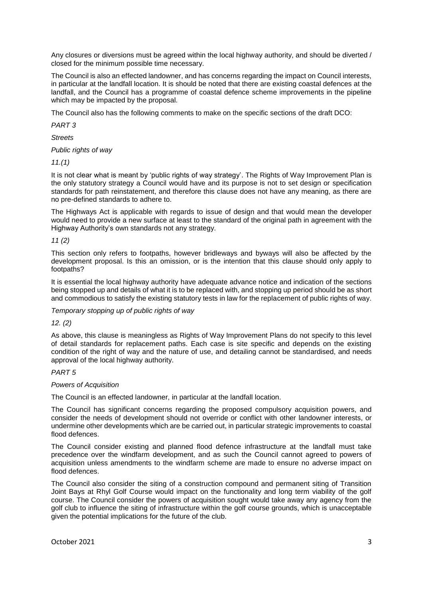Any closures or diversions must be agreed within the local highway authority, and should be diverted / closed for the minimum possible time necessary.

The Council is also an effected landowner, and has concerns regarding the impact on Council interests, in particular at the landfall location. It is should be noted that there are existing coastal defences at the landfall, and the Council has a programme of coastal defence scheme improvements in the pipeline which may be impacted by the proposal.

The Council also has the following comments to make on the specific sections of the draft DCO:

*PART 3*

*Streets*

*Public rights of way*

*11.(1)*

It is not clear what is meant by 'public rights of way strategy'. The Rights of Way Improvement Plan is the only statutory strategy a Council would have and its purpose is not to set design or specification standards for path reinstatement, and therefore this clause does not have any meaning, as there are no pre-defined standards to adhere to.

The Highways Act is applicable with regards to issue of design and that would mean the developer would need to provide a new surface at least to the standard of the original path in agreement with the Highway Authority's own standards not any strategy.

*11 (2)*

This section only refers to footpaths, however bridleways and byways will also be affected by the development proposal. Is this an omission, or is the intention that this clause should only apply to footpaths?

It is essential the local highway authority have adequate advance notice and indication of the sections being stopped up and details of what it is to be replaced with, and stopping up period should be as short and commodious to satisfy the existing statutory tests in law for the replacement of public rights of way.

*Temporary stopping up of public rights of way*

*12. (2)*

As above, this clause is meaningless as Rights of Way Improvement Plans do not specify to this level of detail standards for replacement paths. Each case is site specific and depends on the existing condition of the right of way and the nature of use, and detailing cannot be standardised, and needs approval of the local highway authority.

#### *PART 5*

*Powers of Acquisition*

The Council is an effected landowner, in particular at the landfall location.

The Council has significant concerns regarding the proposed compulsory acquisition powers, and consider the needs of development should not override or conflict with other landowner interests, or undermine other developments which are be carried out, in particular strategic improvements to coastal flood defences.

The Council consider existing and planned flood defence infrastructure at the landfall must take precedence over the windfarm development, and as such the Council cannot agreed to powers of acquisition unless amendments to the windfarm scheme are made to ensure no adverse impact on flood defences.

The Council also consider the siting of a construction compound and permanent siting of Transition Joint Bays at Rhyl Golf Course would impact on the functionality and long term viability of the golf course. The Council consider the powers of acquisition sought would take away any agency from the golf club to influence the siting of infrastructure within the golf course grounds, which is unacceptable given the potential implications for the future of the club.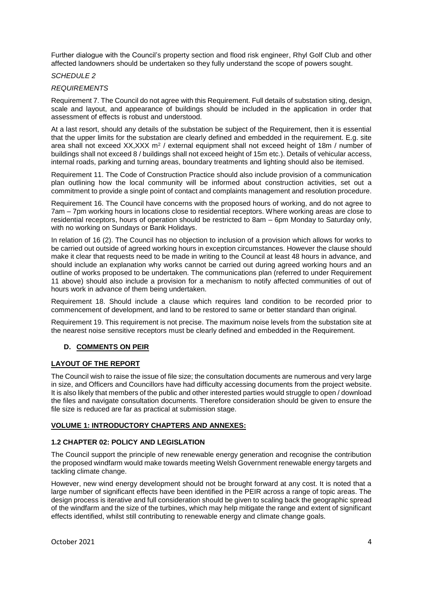Further dialogue with the Council's property section and flood risk engineer, Rhyl Golf Club and other affected landowners should be undertaken so they fully understand the scope of powers sought.

# *SCHEDULE 2*

# *REQUIREMENTS*

Requirement 7. The Council do not agree with this Requirement. Full details of substation siting, design, scale and layout, and appearance of buildings should be included in the application in order that assessment of effects is robust and understood.

At a last resort, should any details of the substation be subject of the Requirement, then it is essential that the upper limits for the substation are clearly defined and embedded in the requirement. E.g. site area shall not exceed  $XX, XXX$  m<sup>2</sup> / external equipment shall not exceed height of 18m / number of buildings shall not exceed 8 / buildings shall not exceed height of 15m etc.). Details of vehicular access, internal roads, parking and turning areas, boundary treatments and lighting should also be itemised.

Requirement 11. The Code of Construction Practice should also include provision of a communication plan outlining how the local community will be informed about construction activities, set out a commitment to provide a single point of contact and complaints management and resolution procedure.

Requirement 16. The Council have concerns with the proposed hours of working, and do not agree to 7am – 7pm working hours in locations close to residential receptors. Where working areas are close to residential receptors, hours of operation should be restricted to 8am – 6pm Monday to Saturday only, with no working on Sundays or Bank Holidays.

In relation of 16 (2). The Council has no objection to inclusion of a provision which allows for works to be carried out outside of agreed working hours in exception circumstances. However the clause should make it clear that requests need to be made in writing to the Council at least 48 hours in advance, and should include an explanation why works cannot be carried out during agreed working hours and an outline of works proposed to be undertaken. The communications plan (referred to under Requirement 11 above) should also include a provision for a mechanism to notify affected communities of out of hours work in advance of them being undertaken.

Requirement 18. Should include a clause which requires land condition to be recorded prior to commencement of development, and land to be restored to same or better standard than original.

Requirement 19. This requirement is not precise. The maximum noise levels from the substation site at the nearest noise sensitive receptors must be clearly defined and embedded in the Requirement.

# **D. COMMENTS ON PEIR**

# **LAYOUT OF THE REPORT**

The Council wish to raise the issue of file size; the consultation documents are numerous and very large in size, and Officers and Councillors have had difficulty accessing documents from the project website. It is also likely that members of the public and other interested parties would struggle to open / download the files and navigate consultation documents. Therefore consideration should be given to ensure the file size is reduced are far as practical at submission stage.

#### **VOLUME 1: INTRODUCTORY CHAPTERS AND ANNEXES:**

# **1.2 CHAPTER 02: POLICY AND LEGISLATION**

The Council support the principle of new renewable energy generation and recognise the contribution the proposed windfarm would make towards meeting Welsh Government renewable energy targets and tackling climate change.

However, new wind energy development should not be brought forward at any cost. It is noted that a large number of significant effects have been identified in the PEIR across a range of topic areas. The design process is iterative and full consideration should be given to scaling back the geographic spread of the windfarm and the size of the turbines, which may help mitigate the range and extent of significant effects identified, whilst still contributing to renewable energy and climate change goals.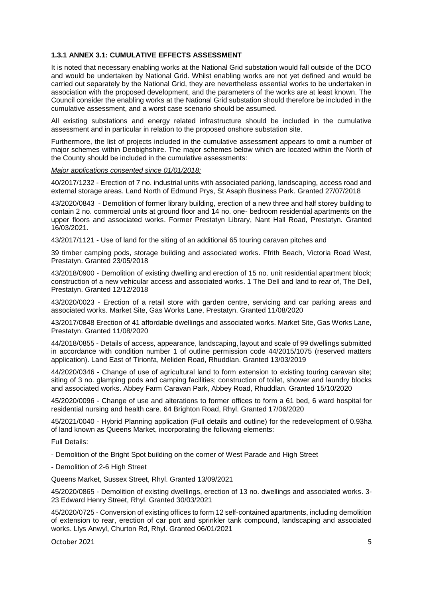# **1.3.1 ANNEX 3.1: CUMULATIVE EFFECTS ASSESSMENT**

It is noted that necessary enabling works at the National Grid substation would fall outside of the DCO and would be undertaken by National Grid. Whilst enabling works are not yet defined and would be carried out separately by the National Grid, they are nevertheless essential works to be undertaken in association with the proposed development, and the parameters of the works are at least known. The Council consider the enabling works at the National Grid substation should therefore be included in the cumulative assessment, and a worst case scenario should be assumed.

All existing substations and energy related infrastructure should be included in the cumulative assessment and in particular in relation to the proposed onshore substation site.

Furthermore, the list of projects included in the cumulative assessment appears to omit a number of major schemes within Denbighshire. The major schemes below which are located within the North of the County should be included in the cumulative assessments:

#### *Major applications consented since 01/01/2018:*

40/2017/1232 - Erection of 7 no. industrial units with associated parking, landscaping, access road and external storage areas. Land North of Edmund Prys, St Asaph Business Park. Granted 27/07/2018

43/2020/0843 - Demolition of former library building, erection of a new three and half storey building to contain 2 no. commercial units at ground floor and 14 no. one- bedroom residential apartments on the upper floors and associated works. Former Prestatyn Library, Nant Hall Road, Prestatyn. Granted 16/03/2021.

43/2017/1121 - Use of land for the siting of an additional 65 touring caravan pitches and

39 timber camping pods, storage building and associated works. Ffrith Beach, Victoria Road West, Prestatyn. Granted 23/05/2018

43/2018/0900 - Demolition of existing dwelling and erection of 15 no. unit residential apartment block; construction of a new vehicular access and associated works. 1 The Dell and land to rear of, The Dell, Prestatyn. Granted 12/12/2018

43/2020/0023 - Erection of a retail store with garden centre, servicing and car parking areas and associated works. Market Site, Gas Works Lane, Prestatyn. Granted 11/08/2020

43/2017/0848 Erection of 41 affordable dwellings and associated works. Market Site, Gas Works Lane, Prestatyn. Granted 11/08/2020

44/2018/0855 - Details of access, appearance, landscaping, layout and scale of 99 dwellings submitted in accordance with condition number 1 of outline permission code 44/2015/1075 (reserved matters application). Land East of Tirionfa, Meliden Road, Rhuddlan. Granted 13/03/2019

44/2020/0346 - Change of use of agricultural land to form extension to existing touring caravan site; siting of 3 no. glamping pods and camping facilities; construction of toilet, shower and laundry blocks and associated works. Abbey Farm Caravan Park, Abbey Road, Rhuddlan. Granted 15/10/2020

45/2020/0096 - Change of use and alterations to former offices to form a 61 bed, 6 ward hospital for residential nursing and health care. 64 Brighton Road, Rhyl. Granted 17/06/2020

45/2021/0040 - Hybrid Planning application (Full details and outline) for the redevelopment of 0.93ha of land known as Queens Market, incorporating the following elements:

Full Details:

- Demolition of the Bright Spot building on the corner of West Parade and High Street

- Demolition of 2-6 High Street

Queens Market, Sussex Street, Rhyl. Granted 13/09/2021

45/2020/0865 - Demolition of existing dwellings, erection of 13 no. dwellings and associated works. 3- 23 Edward Henry Street, Rhyl. Granted 30/03/2021

45/2020/0725 - Conversion of existing offices to form 12 self-contained apartments, including demolition of extension to rear, erection of car port and sprinkler tank compound, landscaping and associated works. Llys Anwyl, Churton Rd, Rhyl. Granted 06/01/2021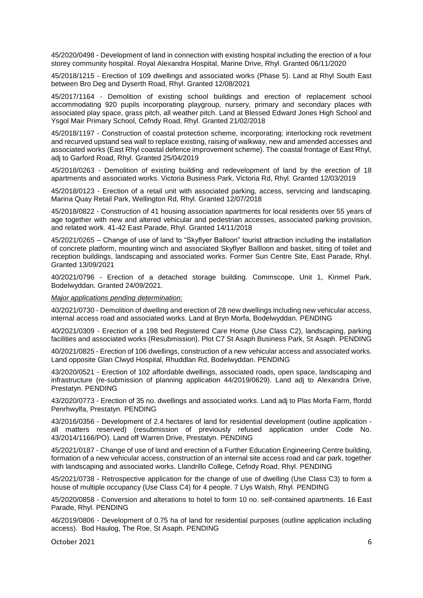45/2020/0498 - Development of land in connection with existing hospital including the erection of a four storey community hospital. Royal Alexandra Hospital, Marine Drive, Rhyl. Granted 06/11/2020

45/2018/1215 - Erection of 109 dwellings and associated works (Phase 5). Land at Rhyl South East between Bro Deg and Dyserth Road, Rhyl. Granted 12/08/2021

45/2017/1164 - Demolition of existing school buildings and erection of replacement school accommodating 920 pupils incorporating playgroup, nursery, primary and secondary places with associated play space, grass pitch, all weather pitch. Land at Blessed Edward Jones High School and Ysgol Mair Primary School, Cefndy Road, Rhyl. Granted 21/02/2018

45/2018/1197 - Construction of coastal protection scheme, incorporating; interlocking rock revetment and recurved upstand sea wall to replace existing, raising of walkway, new and amended accesses and associated works (East Rhyl coastal defence improvement scheme). The coastal frontage of East Rhyl, adj to Garford Road, Rhyl. Granted 25/04/2019

45/2018/0263 - Demolition of existing building and redevelopment of land by the erection of 18 apartments and associated works. Victoria Business Park, Victoria Rd, Rhyl. Granted 12/03/2019

45/2018/0123 - Erection of a retail unit with associated parking, access, servicing and landscaping. Marina Quay Retail Park, Wellington Rd, Rhyl. Granted 12/07/2018

45/2018/0822 - Construction of 41 housing association apartments for local residents over 55 years of age together with new and altered vehicular and pedestrian accesses, associated parking provision, and related work. 41-42 East Parade, Rhyl. Granted 14/11/2018

45/2021/0265 – Change of use of land to "Skyflyer Balloon" tourist attraction including the installation of concrete platform, mounting winch and associated Skyflyer Ballloon and basket, siting of toilet and reception buildings, landscaping and associated works. Former Sun Centre Site, East Parade, Rhyl. Granted 13/09/2021

40/2021/0796 - Erection of a detached storage building. Commscope, Unit 1, Kinmel Park, Bodelwyddan. Granted 24/09/2021.

*Major applications pending determination:*

40/2021/0730 - Demolition of dwelling and erection of 28 new dwellings including new vehicular access, internal access road and associated works. Land at Bryn Morfa, Bodelwyddan. PENDING

40/2021/0309 - Erection of a 198 bed Registered Care Home (Use Class C2), landscaping, parking facilities and associated works (Resubmission). Plot C7 St Asaph Business Park, St Asaph. PENDING

40/2021/0825 - Erection of 106 dwellings, construction of a new vehicular access and associated works. Land opposite Glan Clwyd Hospital, Rhuddlan Rd, Bodelwyddan. PENDING

43/2020/0521 - Erection of 102 affordable dwellings, associated roads, open space, landscaping and infrastructure (re-submission of planning application 44/2019/0629). Land adj to Alexandra Drive, Prestatyn. PENDING

43/2020/0773 - Erection of 35 no. dwellings and associated works. Land adj to Plas Morfa Farm, ffordd Penrhwylfa, Prestatyn. PENDING

43/2016/0356 - Development of 2.4 hectares of land for residential development (outline application all matters reserved) (resubmission of previously refused application under Code No. 43/2014/1166/PO). Land off Warren Drive, Prestatyn. PENDING

45/2021/0187 - Change of use of land and erection of a Further Education Engineering Centre building, formation of a new vehicular access, construction of an internal site access road and car park, together with landscaping and associated works. Llandrillo College, Cefndy Road, Rhyl. PENDING

45/2021/0738 - Retrospective application for the change of use of dwelling (Use Class C3) to form a house of multiple occupancy (Use Class C4) for 4 people. 7 Llys Walsh, Rhyl. PENDING

45/2020/0858 - Conversion and alterations to hotel to form 10 no. self-contained apartments. 16 East Parade, Rhyl. PENDING

46/2019/0806 - Development of 0.75 ha of land for residential purposes (outline application including access). Bod Haulog, The Roe, St Asaph. PENDING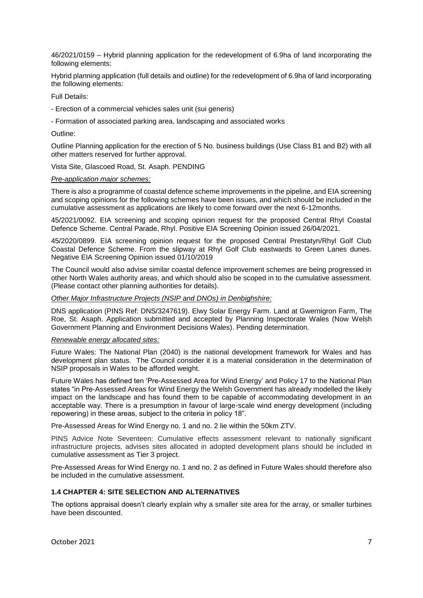46/2021/0159 – Hybrid planning application for the redevelopment of 6.9ha of land incorporating the following elements:

Hybrid planning application (full details and outline) for the redevelopment of 6.9ha of land incorporating the following elements:

Full Details:

- Erection of a commercial vehicles sales unit (sui generis)
- Formation of associated parking area, landscaping and associated works

Outline:

Outline Planning application for the erection of 5 No. business buildings (Use Class B1 and B2) with all other matters reserved for further approval.

Vista Site, Glascoed Road, St. Asaph. PENDING

#### *Pre-application major schemes:*

There is also a programme of coastal defence scheme improvements in the pipeline, and EIA screening and scoping opinions for the following schemes have been issues, and which should be included in the cumulative assessment as applications are likely to come forward over the next 6-12months.

45/2021/0092. EIA screening and scoping opinion request for the proposed Central Rhyl Coastal Defence Scheme. Central Parade, Rhyl. Positive EIA Screening Opinion issued 26/04/2021.

45/2020/0899. EIA screening opinion request for the proposed Central Prestatyn/Rhyl Golf Club Coastal Defence Scheme. From the slipway at Rhyl Golf Club eastwards to Green Lanes dunes. Negative EIA Screening Opinion issued 01/10/2019

The Council would also advise similar coastal defence improvement schemes are being progressed in other North Wales authority areas, and which should also be scoped in to the cumulative assessment. (Please contact other planning authorities for details).

#### *Other Major Infrastructure Projects (NSIP and DNOs) in Denbighshire:*

DNS application (PINS Ref: DNS/3247619). Elwy Solar Energy Farm. Land at Gwernigron Farm, The Roe, St. Asaph. Application submitted and accepted by Planning Inspectorate Wales (Now Welsh Government Planning and Environment Decisions Wales). Pending determination.

#### *Renewable energy allocated sites:*

Future Wales: The National Plan (2040) is the national development framework for Wales and has development plan status. The Council consider it is a material consideration in the determination of NSIP proposals in Wales to be afforded weight.

Future Wales has defined ten 'Pre-Assessed Area for Wind Energy' and Policy 17 to the National Plan states "in Pre-Assessed Areas for Wind Energy the Welsh Government has already modelled the likely impact on the landscape and has found them to be capable of accommodating development in an acceptable way. There is a presumption in favour of large-scale wind energy development (including repowering) in these areas, subject to the criteria in policy 18".

Pre-Assessed Areas for Wind Energy no. 1 and no. 2 lie within the 50km ZTV.

PINS Advice Note Seventeen: Cumulative effects assessment relevant to nationally significant infrastructure projects, advises sites allocated in adopted development plans should be included in cumulative assessment as Tier 3 project.

Pre-Assessed Areas for Wind Energy no. 1 and no. 2 as defined in Future Wales should therefore also be included in the cumulative assessment.

#### **1.4 CHAPTER 4: SITE SELECTION AND ALTERNATIVES**

The options appraisal doesn't clearly explain why a smaller site area for the array, or smaller turbines have been discounted.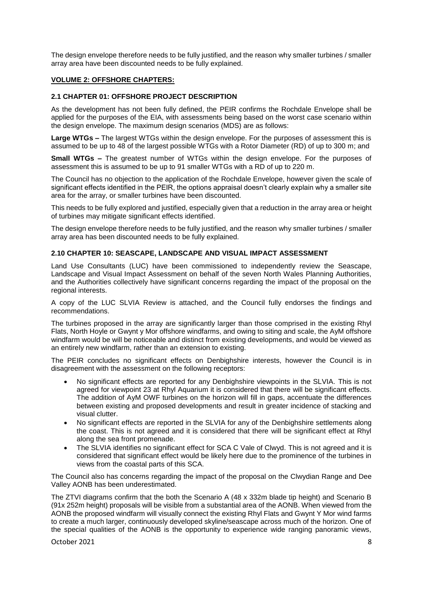The design envelope therefore needs to be fully justified, and the reason why smaller turbines / smaller array area have been discounted needs to be fully explained.

# **VOLUME 2: OFFSHORE CHAPTERS:**

#### **2.1 CHAPTER 01: OFFSHORE PROJECT DESCRIPTION**

As the development has not been fully defined, the PEIR confirms the Rochdale Envelope shall be applied for the purposes of the EIA, with assessments being based on the worst case scenario within the design envelope. The maximum design scenarios (MDS) are as follows:

**Large WTGs –** The largest WTGs within the design envelope. For the purposes of assessment this is assumed to be up to 48 of the largest possible WTGs with a Rotor Diameter (RD) of up to 300 m; and

**Small WTGs –** The greatest number of WTGs within the design envelope. For the purposes of assessment this is assumed to be up to 91 smaller WTGs with a RD of up to 220 m.

The Council has no objection to the application of the Rochdale Envelope, however given the scale of significant effects identified in the PEIR, the options appraisal doesn't clearly explain why a smaller site area for the array, or smaller turbines have been discounted.

This needs to be fully explored and justified, especially given that a reduction in the array area or height of turbines may mitigate significant effects identified.

The design envelope therefore needs to be fully justified, and the reason why smaller turbines / smaller array area has been discounted needs to be fully explained.

# **2.10 CHAPTER 10: SEASCAPE, LANDSCAPE AND VISUAL IMPACT ASSESSMENT**

Land Use Consultants (LUC) have been commissioned to independently review the Seascape, Landscape and Visual Impact Assessment on behalf of the seven North Wales Planning Authorities, and the Authorities collectively have significant concerns regarding the impact of the proposal on the regional interests.

A copy of the LUC SLVIA Review is attached, and the Council fully endorses the findings and recommendations.

The turbines proposed in the array are significantly larger than those comprised in the existing Rhyl Flats, North Hoyle or Gwynt y Mor offshore windfarms, and owing to siting and scale, the AyM offshore windfarm would be will be noticeable and distinct from existing developments, and would be viewed as an entirely new windfarm, rather than an extension to existing.

The PEIR concludes no significant effects on Denbighshire interests, however the Council is in disagreement with the assessment on the following receptors:

- No significant effects are reported for any Denbighshire viewpoints in the SLVIA. This is not agreed for viewpoint 23 at Rhyl Aquarium it is considered that there will be significant effects. The addition of AyM OWF turbines on the horizon will fill in gaps, accentuate the differences between existing and proposed developments and result in greater incidence of stacking and visual clutter.
- No significant effects are reported in the SLVIA for any of the Denbighshire settlements along the coast. This is not agreed and it is considered that there will be significant effect at Rhyl along the sea front promenade.
- The SLVIA identifies no significant effect for SCA C Vale of Clwyd. This is not agreed and it is considered that significant effect would be likely here due to the prominence of the turbines in views from the coastal parts of this SCA.

The Council also has concerns regarding the impact of the proposal on the Clwydian Range and Dee Valley AONB has been underestimated.

The ZTVI diagrams confirm that the both the Scenario A (48 x 332m blade tip height) and Scenario B (91x 252m height) proposals will be visible from a substantial area of the AONB. When viewed from the AONB the proposed windfarm will visually connect the existing Rhyl Flats and Gwynt Y Mor wind farms to create a much larger, continuously developed skyline/seascape across much of the horizon. One of the special qualities of the AONB is the opportunity to experience wide ranging panoramic views,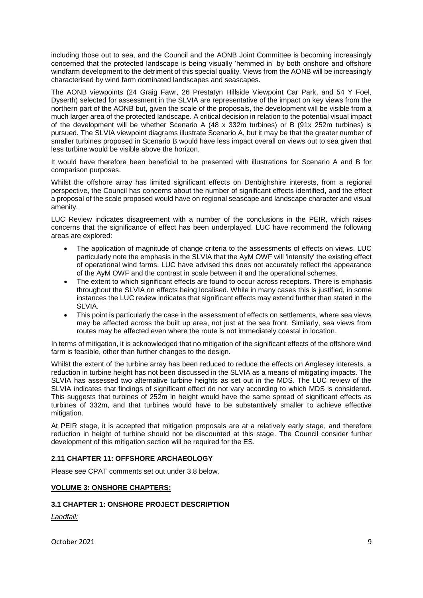including those out to sea, and the Council and the AONB Joint Committee is becoming increasingly concerned that the protected landscape is being visually 'hemmed in' by both onshore and offshore windfarm development to the detriment of this special quality. Views from the AONB will be increasingly characterised by wind farm dominated landscapes and seascapes.

The AONB viewpoints (24 Graig Fawr, 26 Prestatyn Hillside Viewpoint Car Park, and 54 Y Foel, Dyserth) selected for assessment in the SLVIA are representative of the impact on key views from the northern part of the AONB but, given the scale of the proposals, the development will be visible from a much larger area of the protected landscape. A critical decision in relation to the potential visual impact of the development will be whether Scenario A (48 x 332m turbines) or B (91x 252m turbines) is pursued. The SLVIA viewpoint diagrams illustrate Scenario A, but it may be that the greater number of smaller turbines proposed in Scenario B would have less impact overall on views out to sea given that less turbine would be visible above the horizon.

It would have therefore been beneficial to be presented with illustrations for Scenario A and B for comparison purposes.

Whilst the offshore array has limited significant effects on Denbighshire interests, from a regional perspective, the Council has concerns about the number of significant effects identified, and the effect a proposal of the scale proposed would have on regional seascape and landscape character and visual amenity.

LUC Review indicates disagreement with a number of the conclusions in the PEIR, which raises concerns that the significance of effect has been underplayed. LUC have recommend the following areas are explored:

- The application of magnitude of change criteria to the assessments of effects on views. LUC particularly note the emphasis in the SLVIA that the AyM OWF will 'intensify' the existing effect of operational wind farms. LUC have advised this does not accurately reflect the appearance of the AyM OWF and the contrast in scale between it and the operational schemes.
- The extent to which significant effects are found to occur across receptors. There is emphasis throughout the SLVIA on effects being localised. While in many cases this is justified, in some instances the LUC review indicates that significant effects may extend further than stated in the SLVIA.
- This point is particularly the case in the assessment of effects on settlements, where sea views may be affected across the built up area, not just at the sea front. Similarly, sea views from routes may be affected even where the route is not immediately coastal in location.

In terms of mitigation, it is acknowledged that no mitigation of the significant effects of the offshore wind farm is feasible, other than further changes to the design.

Whilst the extent of the turbine array has been reduced to reduce the effects on Anglesey interests, a reduction in turbine height has not been discussed in the SLVIA as a means of mitigating impacts. The SLVIA has assessed two alternative turbine heights as set out in the MDS. The LUC review of the SLVIA indicates that findings of significant effect do not vary according to which MDS is considered. This suggests that turbines of 252m in height would have the same spread of significant effects as turbines of 332m, and that turbines would have to be substantively smaller to achieve effective mitigation.

At PEIR stage, it is accepted that mitigation proposals are at a relatively early stage, and therefore reduction in height of turbine should not be discounted at this stage. The Council consider further development of this mitigation section will be required for the ES.

# **2.11 CHAPTER 11: OFFSHORE ARCHAEOLOGY**

Please see CPAT comments set out under 3.8 below.

#### **VOLUME 3: ONSHORE CHAPTERS:**

#### **3.1 CHAPTER 1: ONSHORE PROJECT DESCRIPTION**

*Landfall:*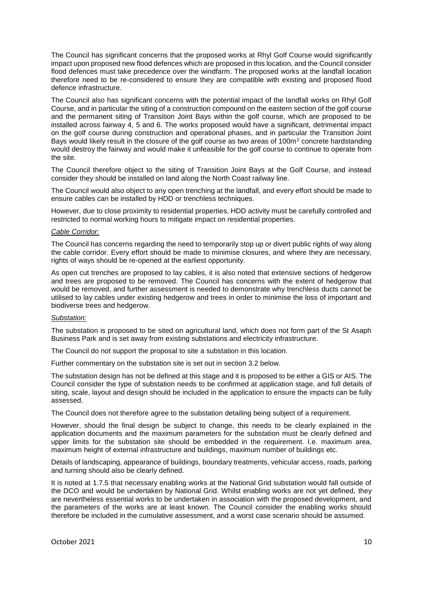The Council has significant concerns that the proposed works at Rhyl Golf Course would significantly impact upon proposed new flood defences which are proposed in this location, and the Council consider flood defences must take precedence over the windfarm. The proposed works at the landfall location therefore need to be re-considered to ensure they are compatible with existing and proposed flood defence infrastructure.

The Council also has significant concerns with the potential impact of the landfall works on Rhyl Golf Course, and in particular the siting of a construction compound on the eastern section of the golf course and the permanent siting of Transition Joint Bays within the golf course, which are proposed to be installed across fairway 4, 5 and 6. The works proposed would have a significant, detrimental impact on the golf course during construction and operational phases, and in particular the Transition Joint Bays would likely result in the closure of the golf course as two areas of 100m<sup>2</sup> concrete hardstanding would destroy the fairway and would make it unfeasible for the golf course to continue to operate from the site.

The Council therefore object to the siting of Transition Joint Bays at the Golf Course, and instead consider they should be installed on land along the North Coast railway line.

The Council would also object to any open trenching at the landfall, and every effort should be made to ensure cables can be installed by HDD or trenchless techniques.

However, due to close proximity to residential properties, HDD activity must be carefully controlled and restricted to normal working hours to mitigate impact on residential properties.

# *Cable Corridor:*

The Council has concerns regarding the need to temporarily stop up or divert public rights of way along the cable corridor. Every effort should be made to minimise closures, and where they are necessary, rights of ways should be re-opened at the earliest opportunity.

As open cut trenches are proposed to lay cables, it is also noted that extensive sections of hedgerow and trees are proposed to be removed. The Council has concerns with the extent of hedgerow that would be removed, and further assessment is needed to demonstrate why trenchless ducts cannot be utilised to lay cables under existing hedgerow and trees in order to minimise the loss of important and biodiverse trees and hedgerow.

#### *Substation:*

The substation is proposed to be sited on agricultural land, which does not form part of the St Asaph Business Park and is set away from existing substations and electricity infrastructure.

The Council do not support the proposal to site a substation in this location.

Further commentary on the substation site is set out in section 3.2 below.

The substation design has not be defined at this stage and it is proposed to be either a GIS or AIS. The Council consider the type of substation needs to be confirmed at application stage, and full details of siting, scale, layout and design should be included in the application to ensure the impacts can be fully assessed.

The Council does not therefore agree to the substation detailing being subject of a requirement.

However, should the final design be subject to change, this needs to be clearly explained in the application documents and the maximum parameters for the substation must be clearly defined and upper limits for the substation site should be embedded in the requirement. I.e. maximum area, maximum height of external infrastructure and buildings, maximum number of buildings etc.

Details of landscaping, appearance of buildings, boundary treatments, vehicular access, roads, parking and turning should also be clearly defined.

It is noted at 1.7.5 that necessary enabling works at the National Grid substation would fall outside of the DCO and would be undertaken by National Grid. Whilst enabling works are not yet defined, they are nevertheless essential works to be undertaken in association with the proposed development, and the parameters of the works are at least known. The Council consider the enabling works should therefore be included in the cumulative assessment, and a worst case scenario should be assumed.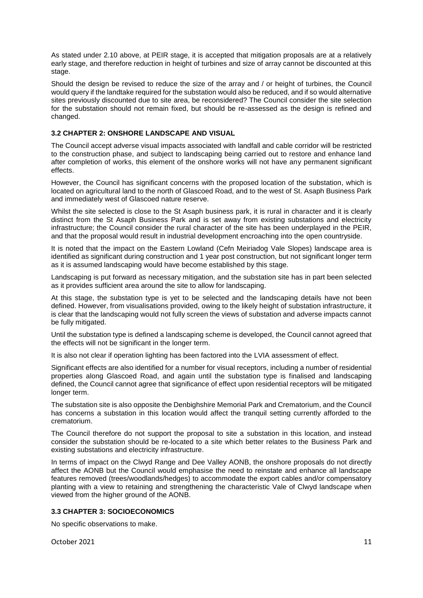As stated under 2.10 above, at PEIR stage, it is accepted that mitigation proposals are at a relatively early stage, and therefore reduction in height of turbines and size of array cannot be discounted at this stage.

Should the design be revised to reduce the size of the array and / or height of turbines, the Council would query if the landtake required for the substation would also be reduced, and if so would alternative sites previously discounted due to site area, be reconsidered? The Council consider the site selection for the substation should not remain fixed, but should be re-assessed as the design is refined and changed.

# **3.2 CHAPTER 2: ONSHORE LANDSCAPE AND VISUAL**

The Council accept adverse visual impacts associated with landfall and cable corridor will be restricted to the construction phase, and subject to landscaping being carried out to restore and enhance land after completion of works, this element of the onshore works will not have any permanent significant effects.

However, the Council has significant concerns with the proposed location of the substation, which is located on agricultural land to the north of Glascoed Road, and to the west of St. Asaph Business Park and immediately west of Glascoed nature reserve.

Whilst the site selected is close to the St Asaph business park, it is rural in character and it is clearly distinct from the St Asaph Business Park and is set away from existing substations and electricity infrastructure; the Council consider the rural character of the site has been underplayed in the PEIR, and that the proposal would result in industrial development encroaching into the open countryside.

It is noted that the impact on the Eastern Lowland (Cefn Meiriadog Vale Slopes) landscape area is identified as significant during construction and 1 year post construction, but not significant longer term as it is assumed landscaping would have become established by this stage.

Landscaping is put forward as necessary mitigation, and the substation site has in part been selected as it provides sufficient area around the site to allow for landscaping.

At this stage, the substation type is yet to be selected and the landscaping details have not been defined. However, from visualisations provided, owing to the likely height of substation infrastructure, it is clear that the landscaping would not fully screen the views of substation and adverse impacts cannot be fully mitigated.

Until the substation type is defined a landscaping scheme is developed, the Council cannot agreed that the effects will not be significant in the longer term.

It is also not clear if operation lighting has been factored into the LVIA assessment of effect.

Significant effects are also identified for a number for visual receptors, including a number of residential properties along Glascoed Road, and again until the substation type is finalised and landscaping defined, the Council cannot agree that significance of effect upon residential receptors will be mitigated longer term.

The substation site is also opposite the Denbighshire Memorial Park and Crematorium, and the Council has concerns a substation in this location would affect the tranquil setting currently afforded to the crematorium.

The Council therefore do not support the proposal to site a substation in this location, and instead consider the substation should be re-located to a site which better relates to the Business Park and existing substations and electricity infrastructure.

In terms of impact on the Clwyd Range and Dee Valley AONB, the onshore proposals do not directly affect the AONB but the Council would emphasise the need to reinstate and enhance all landscape features removed (trees/woodlands/hedges) to accommodate the export cables and/or compensatory planting with a view to retaining and strengthening the characteristic Vale of Clwyd landscape when viewed from the higher ground of the AONB.

# **3.3 CHAPTER 3: SOCIOECONOMICS**

No specific observations to make.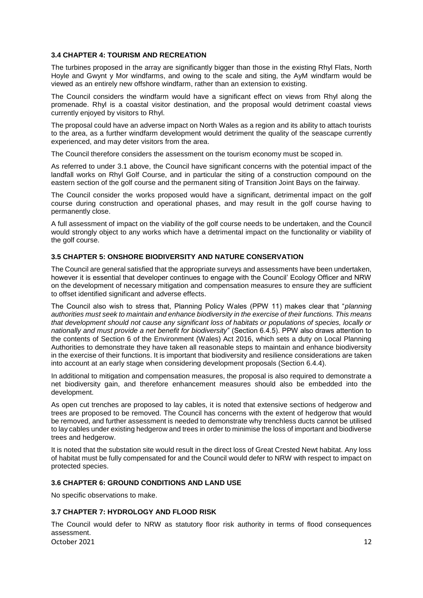# **3.4 CHAPTER 4: TOURISM AND RECREATION**

The turbines proposed in the array are significantly bigger than those in the existing Rhyl Flats, North Hoyle and Gwynt y Mor windfarms, and owing to the scale and siting, the AyM windfarm would be viewed as an entirely new offshore windfarm, rather than an extension to existing.

The Council considers the windfarm would have a significant effect on views from Rhyl along the promenade. Rhyl is a coastal visitor destination, and the proposal would detriment coastal views currently enjoyed by visitors to Rhyl.

The proposal could have an adverse impact on North Wales as a region and its ability to attach tourists to the area, as a further windfarm development would detriment the quality of the seascape currently experienced, and may deter visitors from the area.

The Council therefore considers the assessment on the tourism economy must be scoped in.

As referred to under 3.1 above, the Council have significant concerns with the potential impact of the landfall works on Rhyl Golf Course, and in particular the siting of a construction compound on the eastern section of the golf course and the permanent siting of Transition Joint Bays on the fairway.

The Council consider the works proposed would have a significant, detrimental impact on the golf course during construction and operational phases, and may result in the golf course having to permanently close.

A full assessment of impact on the viability of the golf course needs to be undertaken, and the Council would strongly object to any works which have a detrimental impact on the functionality or viability of the golf course.

#### **3.5 CHAPTER 5: ONSHORE BIODIVERSITY AND NATURE CONSERVATION**

The Council are general satisfied that the appropriate surveys and assessments have been undertaken, however it is essential that developer continues to engage with the Council' Ecology Officer and NRW on the development of necessary mitigation and compensation measures to ensure they are sufficient to offset identified significant and adverse effects.

The Council also wish to stress that, Planning Policy Wales (PPW 11) makes clear that "*planning authorities must seek to maintain and enhance biodiversity in the exercise of their functions. This means that development should not cause any significant loss of habitats or populations of species, locally or nationally and must provide a net benefit for biodiversity*" (Section 6.4.5). PPW also draws attention to the contents of Section 6 of the Environment (Wales) Act 2016, which sets a duty on Local Planning Authorities to demonstrate they have taken all reasonable steps to maintain and enhance biodiversity in the exercise of their functions. It is important that biodiversity and resilience considerations are taken into account at an early stage when considering development proposals (Section 6.4.4).

In additional to mitigation and compensation measures, the proposal is also required to demonstrate a net biodiversity gain, and therefore enhancement measures should also be embedded into the development.

As open cut trenches are proposed to lay cables, it is noted that extensive sections of hedgerow and trees are proposed to be removed. The Council has concerns with the extent of hedgerow that would be removed, and further assessment is needed to demonstrate why trenchless ducts cannot be utilised to lay cables under existing hedgerow and trees in order to minimise the loss of important and biodiverse trees and hedgerow.

It is noted that the substation site would result in the direct loss of Great Crested Newt habitat. Any loss of habitat must be fully compensated for and the Council would defer to NRW with respect to impact on protected species.

#### **3.6 CHAPTER 6: GROUND CONDITIONS AND LAND USE**

No specific observations to make.

# **3.7 CHAPTER 7: HYDROLOGY AND FLOOD RISK**

October 2021 **12** The Council would defer to NRW as statutory floor risk authority in terms of flood consequences assessment.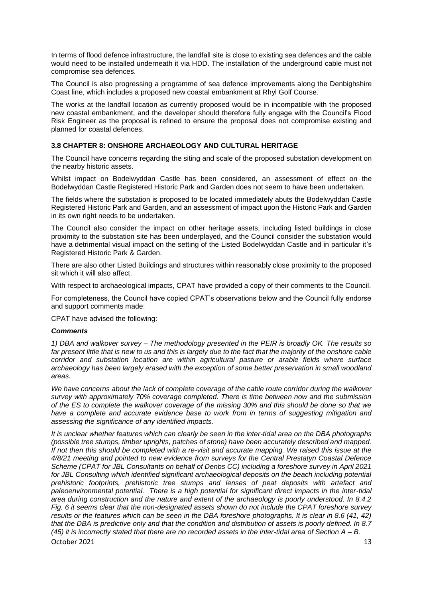In terms of flood defence infrastructure, the landfall site is close to existing sea defences and the cable would need to be installed underneath it via HDD. The installation of the underground cable must not compromise sea defences.

The Council is also progressing a programme of sea defence improvements along the Denbighshire Coast line, which includes a proposed new coastal embankment at Rhyl Golf Course.

The works at the landfall location as currently proposed would be in incompatible with the proposed new coastal embankment, and the developer should therefore fully engage with the Council's Flood Risk Engineer as the proposal is refined to ensure the proposal does not compromise existing and planned for coastal defences.

# **3.8 CHAPTER 8: ONSHORE ARCHAEOLOGY AND CULTURAL HERITAGE**

The Council have concerns regarding the siting and scale of the proposed substation development on the nearby historic assets.

Whilst impact on Bodelwyddan Castle has been considered, an assessment of effect on the Bodelwyddan Castle Registered Historic Park and Garden does not seem to have been undertaken.

The fields where the substation is proposed to be located immediately abuts the Bodelwyddan Castle Registered Historic Park and Garden, and an assessment of impact upon the Historic Park and Garden in its own right needs to be undertaken.

The Council also consider the impact on other heritage assets, including listed buildings in close proximity to the substation site has been underplayed, and the Council consider the substation would have a detrimental visual impact on the setting of the Listed Bodelwyddan Castle and in particular it's Registered Historic Park & Garden.

There are also other Listed Buildings and structures within reasonably close proximity to the proposed sit which it will also affect.

With respect to archaeological impacts, CPAT have provided a copy of their comments to the Council.

For completeness, the Council have copied CPAT's observations below and the Council fully endorse and support comments made:

CPAT have advised the following:

#### *Comments*

*1) DBA and walkover survey – The methodology presented in the PEIR is broadly OK. The results so*  far present little that is new to us and this is largely due to the fact that the majority of the onshore cable *corridor and substation location are within agricultural pasture or arable fields where surface archaeology has been largely erased with the exception of some better preservation in small woodland areas.*

*We have concerns about the lack of complete coverage of the cable route corridor during the walkover survey with approximately 70% coverage completed. There is time between now and the submission of the ES to complete the walkover coverage of the missing 30% and this should be done so that we have a complete and accurate evidence base to work from in terms of suggesting mitigation and assessing the significance of any identified impacts.*

*It is unclear whether features which can clearly be seen in the inter-tidal area on the DBA photographs (possible tree stumps, timber uprights, patches of stone) have been accurately described and mapped. If not then this should be completed with a re-visit and accurate mapping. We raised this issue at the 4/8/21 meeting and pointed to new evidence from surveys for the Central Prestatyn Coastal Defence Scheme (CPAT for JBL Consultants on behalf of Denbs CC) including a foreshore survey in April 2021*  for JBL Consulting which identified significant archaeological deposits on the beach including potential *prehistoric footprints, prehistoric tree stumps and lenses of peat deposits with artefact and paleoenvironmental potential. There is a high potential for significant direct impacts in the inter-tidal area during construction and the nature and extent of the archaeology is poorly understood. In 8.4.2 Fig. 6 it seems clear that the non-designated assets shown do not include the CPAT foreshore survey results or the features which can be seen in the DBA foreshore photographs. It is clear in 8.6 (41, 42) that the DBA is predictive only and that the condition and distribution of assets is poorly defined. In 8.7 (45) it is incorrectly stated that there are no recorded assets in the inter-tidal area of Section A – B.*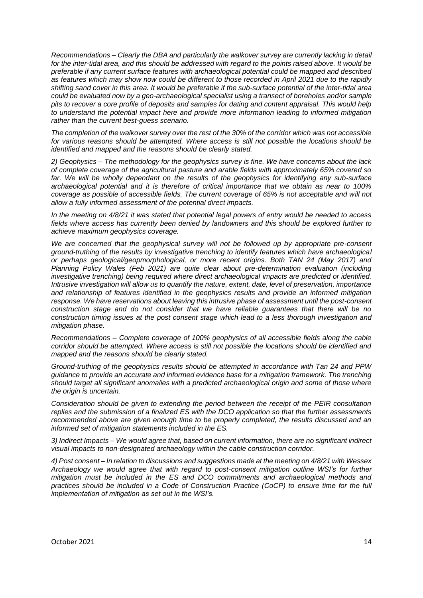*Recommendations – Clearly the DBA and particularly the walkover survey are currently lacking in detail for the inter-tidal area, and this should be addressed with regard to the points raised above. It would be preferable if any current surface features with archaeological potential could be mapped and described as features which may show now could be different to those recorded in April 2021 due to the rapidly shifting sand cover in this area. It would be preferable if the sub-surface potential of the inter-tidal area could be evaluated now by a geo-archaeological specialist using a transect of boreholes and/or sample pits to recover a core profile of deposits and samples for dating and content appraisal. This would help to understand the potential impact here and provide more information leading to informed mitigation rather than the current best-guess scenario.*

*The completion of the walkover survey over the rest of the 30% of the corridor which was not accessible for various reasons should be attempted. Where access is still not possible the locations should be identified and mapped and the reasons should be clearly stated.*

*2) Geophysics – The methodology for the geophysics survey is fine. We have concerns about the lack of complete coverage of the agricultural pasture and arable fields with approximately 65% covered so far. We will be wholly dependant on the results of the geophysics for identifying any sub-surface archaeological potential and it is therefore of critical importance that we obtain as near to 100% coverage as possible of accessible fields. The current coverage of 65% is not acceptable and will not allow a fully informed assessment of the potential direct impacts.*

*In the meeting on 4/8/21 it was stated that potential legal powers of entry would be needed to access fields where access has currently been denied by landowners and this should be explored further to achieve maximum geophysics coverage.*

*We are concerned that the geophysical survey will not be followed up by appropriate pre-consent ground-truthing of the results by investigative trenching to identify features which have archaeological or perhaps geological/geopmorphological, or more recent origins. Both TAN 24 (May 2017) and Planning Policy Wales (Feb 2021) are quite clear about pre-determination evaluation (including investigative trenching) being required where direct archaeological impacts are predicted or identified. Intrusive investigation will allow us to quantify the nature, extent, date, level of preservation, importance and relationship of features identified in the geophysics results and provide an informed mitigation response. We have reservations about leaving this intrusive phase of assessment until the post-consent construction stage and do not consider that we have reliable guarantees that there will be no construction timing issues at the post consent stage which lead to a less thorough investigation and mitigation phase.*

*Recommendations – Complete coverage of 100% geophysics of all accessible fields along the cable corridor should be attempted. Where access is still not possible the locations should be identified and mapped and the reasons should be clearly stated.*

*Ground-truthing of the geophysics results should be attempted in accordance with Tan 24 and PPW guidance to provide an accurate and informed evidence base for a mitigation framework. The trenching should target all significant anomalies with a predicted archaeological origin and some of those where the origin is uncertain.*

*Consideration should be given to extending the period between the receipt of the PEIR consultation replies and the submission of a finalized ES with the DCO application so that the further assessments*  recommended above are given enough time to be properly completed, the results discussed and an *informed set of mitigation statements included in the ES.*

*3) Indirect Impacts – We would agree that, based on current information, there are no significant indirect visual impacts to non-designated archaeology within the cable construction corridor.*

*4) Post consent – In relation to discussions and suggestions made at the meeting on 4/8/21 with Wessex Archaeology we would agree that with regard to post-consent mitigation outline WSI's for further mitigation must be included in the ES and DCO commitments and archaeological methods and practices should be included in a Code of Construction Practice (CoCP) to ensure time for the full implementation of mitigation as set out in the WSI's.*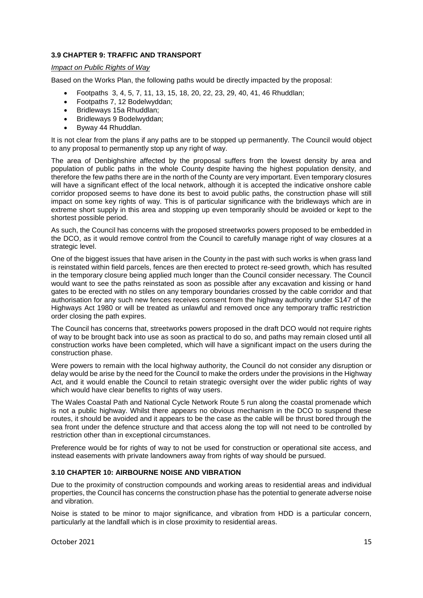# **3.9 CHAPTER 9: TRAFFIC AND TRANSPORT**

#### *Impact on Public Rights of Way*

Based on the Works Plan, the following paths would be directly impacted by the proposal:

- Footpaths 3, 4, 5, 7, 11, 13, 15, 18, 20, 22, 23, 29, 40, 41, 46 Rhuddlan;
- Footpaths 7, 12 Bodelwyddan;
- Bridleways 15a Rhuddlan;
- Bridleways 9 Bodelwyddan;
- Byway 44 Rhuddlan.

It is not clear from the plans if any paths are to be stopped up permanently. The Council would object to any proposal to permanently stop up any right of way.

The area of Denbighshire affected by the proposal suffers from the lowest density by area and population of public paths in the whole County despite having the highest population density, and therefore the few paths there are in the north of the County are very important. Even temporary closures will have a significant effect of the local network, although it is accepted the indicative onshore cable corridor proposed seems to have done its best to avoid public paths, the construction phase will still impact on some key rights of way. This is of particular significance with the bridleways which are in extreme short supply in this area and stopping up even temporarily should be avoided or kept to the shortest possible period.

As such, the Council has concerns with the proposed streetworks powers proposed to be embedded in the DCO, as it would remove control from the Council to carefully manage right of way closures at a strategic level.

One of the biggest issues that have arisen in the County in the past with such works is when grass land is reinstated within field parcels, fences are then erected to protect re-seed growth, which has resulted in the temporary closure being applied much longer than the Council consider necessary. The Council would want to see the paths reinstated as soon as possible after any excavation and kissing or hand gates to be erected with no stiles on any temporary boundaries crossed by the cable corridor and that authorisation for any such new fences receives consent from the highway authority under S147 of the Highways Act 1980 or will be treated as unlawful and removed once any temporary traffic restriction order closing the path expires.

The Council has concerns that, streetworks powers proposed in the draft DCO would not require rights of way to be brought back into use as soon as practical to do so, and paths may remain closed until all construction works have been completed, which will have a significant impact on the users during the construction phase.

Were powers to remain with the local highway authority, the Council do not consider any disruption or delay would be arise by the need for the Council to make the orders under the provisions in the Highway Act, and it would enable the Council to retain strategic oversight over the wider public rights of way which would have clear benefits to rights of way users.

The Wales Coastal Path and National Cycle Network Route 5 run along the coastal promenade which is not a public highway. Whilst there appears no obvious mechanism in the DCO to suspend these routes, it should be avoided and it appears to be the case as the cable will be thrust bored through the sea front under the defence structure and that access along the top will not need to be controlled by restriction other than in exceptional circumstances.

Preference would be for rights of way to not be used for construction or operational site access, and instead easements with private landowners away from rights of way should be pursued.

# **3.10 CHAPTER 10: AIRBOURNE NOISE AND VIBRATION**

Due to the proximity of construction compounds and working areas to residential areas and individual properties, the Council has concerns the construction phase has the potential to generate adverse noise and vibration.

Noise is stated to be minor to major significance, and vibration from HDD is a particular concern, particularly at the landfall which is in close proximity to residential areas.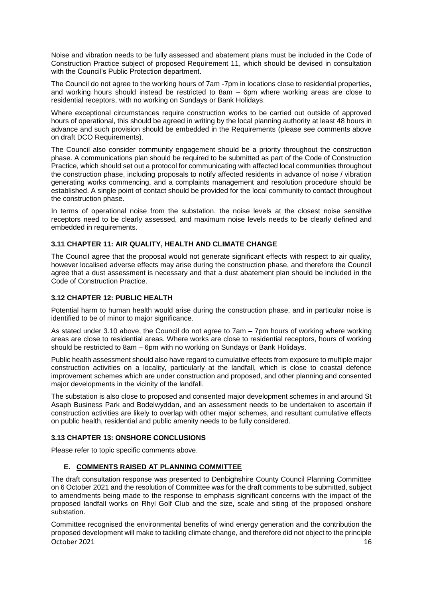Noise and vibration needs to be fully assessed and abatement plans must be included in the Code of Construction Practice subject of proposed Requirement 11, which should be devised in consultation with the Council's Public Protection department.

The Council do not agree to the working hours of 7am -7pm in locations close to residential properties, and working hours should instead be restricted to 8am – 6pm where working areas are close to residential receptors, with no working on Sundays or Bank Holidays.

Where exceptional circumstances require construction works to be carried out outside of approved hours of operational, this should be agreed in writing by the local planning authority at least 48 hours in advance and such provision should be embedded in the Requirements (please see comments above on draft DCO Requirements).

The Council also consider community engagement should be a priority throughout the construction phase. A communications plan should be required to be submitted as part of the Code of Construction Practice, which should set out a protocol for communicating with affected local communities throughout the construction phase, including proposals to notify affected residents in advance of noise / vibration generating works commencing, and a complaints management and resolution procedure should be established. A single point of contact should be provided for the local community to contact throughout the construction phase.

In terms of operational noise from the substation, the noise levels at the closest noise sensitive receptors need to be clearly assessed, and maximum noise levels needs to be clearly defined and embedded in requirements.

# **3.11 CHAPTER 11: AIR QUALITY, HEALTH AND CLIMATE CHANGE**

The Council agree that the proposal would not generate significant effects with respect to air quality, however localised adverse effects may arise during the construction phase, and therefore the Council agree that a dust assessment is necessary and that a dust abatement plan should be included in the Code of Construction Practice.

# **3.12 CHAPTER 12: PUBLIC HEALTH**

Potential harm to human health would arise during the construction phase, and in particular noise is identified to be of minor to major significance.

As stated under 3.10 above, the Council do not agree to 7am – 7pm hours of working where working areas are close to residential areas. Where works are close to residential receptors, hours of working should be restricted to 8am – 6pm with no working on Sundays or Bank Holidays.

Public health assessment should also have regard to cumulative effects from exposure to multiple major construction activities on a locality, particularly at the landfall, which is close to coastal defence improvement schemes which are under construction and proposed, and other planning and consented major developments in the vicinity of the landfall.

The substation is also close to proposed and consented major development schemes in and around St Asaph Business Park and Bodelwyddan, and an assessment needs to be undertaken to ascertain if construction activities are likely to overlap with other major schemes, and resultant cumulative effects on public health, residential and public amenity needs to be fully considered.

# **3.13 CHAPTER 13: ONSHORE CONCLUSIONS**

Please refer to topic specific comments above.

# **E. COMMENTS RAISED AT PLANNING COMMITTEE**

The draft consultation response was presented to Denbighshire County Council Planning Committee on 6 October 2021 and the resolution of Committee was for the draft comments to be submitted, subject to amendments being made to the response to emphasis significant concerns with the impact of the proposed landfall works on Rhyl Golf Club and the size, scale and siting of the proposed onshore substation.

October 2021 **16** Committee recognised the environmental benefits of wind energy generation and the contribution the proposed development will make to tackling climate change, and therefore did not object to the principle